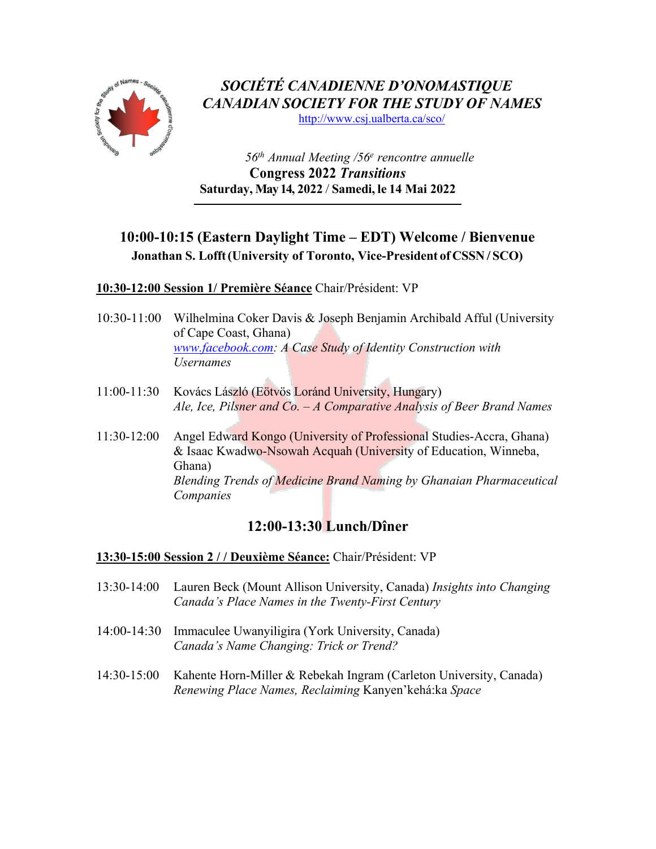

*SOCIÉTÉ CANADIENNE D'ONOMASTIQUE CANADIAN SOCIETY FOR THE STUDY OF NAMES*

http://www.csj.ualberta.ca/sco/

*56th Annual Meeting /56e rencontre annuelle* **Congress 2022** *Transitions*  **Saturday, May 14, 2022** / **Samedi, le 14 Mai 2022**

## **10:00-10:15 (Eastern Daylight Time – EDT) Welcome / Bienvenue Jonathan S. Lofft(University of Toronto, Vice-President of CSSN/ SCO)**

**10:30-12:00 Session 1/ Première Séance** Chair/Président: VP

- 10:30-11:00 Wilhelmina Coker Davis & Joseph Benjamin Archibald Afful (University of Cape Coast, Ghana) *www.facebook.com: A Case Study of Identity Construction with Usernames*
- 11:00-11:30 Kovács László (Eötvös Loránd University, Hungary) *Ale, Ice, Pilsner and Co. – A Comparative Analysis of Beer Brand Names*
- 11:30-12:00 Angel Edward Kongo (University of Professional Studies-Accra, Ghana) & Isaac Kwadwo-Nsowah Acquah (University of Education, Winneba, Ghana) *Blending Trends of Medicine Brand Naming by Ghanaian Pharmaceutical Companies*

# **12:00-13:30 Lunch/Dîner**

### **13:30-15:00 Session 2 / / Deuxième Séance:** Chair/Président: VP

- 13:30-14:00 Lauren Beck (Mount Allison University, Canada) *Insights into Changing Canada's Place Names in the Twenty-First Century*
- 14:00-14:30 Immaculee Uwanyiligira (York University, Canada) *Canada's Name Changing: Trick or Trend?*
- 14:30-15:00 Kahente Horn-Miller & Rebekah Ingram (Carleton University, Canada) *Renewing Place Names, Reclaiming* Kanyen'kehá:ka *Space*